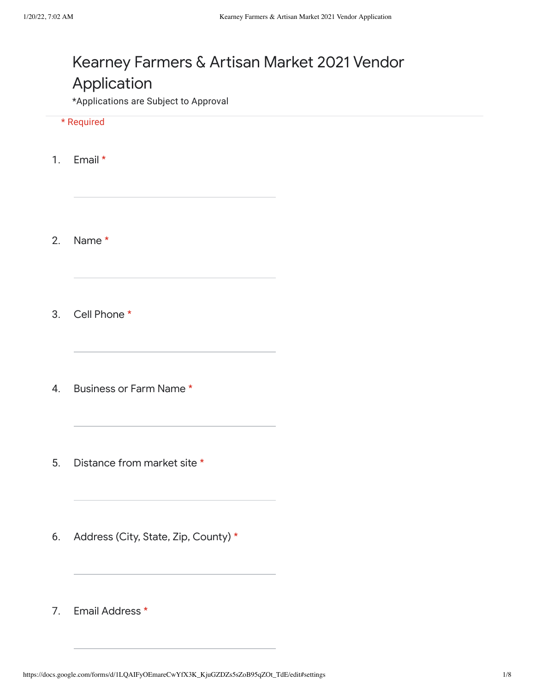# Kearney Farmers & Artisan Market 2021 Vendor Application

\*Applications are Subject to Approval

\* Required

1. Email \*

2. Name \*

3. Cell Phone \*

- 4. Business or Farm Name \*
- 5. Distance from market site \*
- 6. Address (City, State, Zip, County) \*
- 7. Email Address \*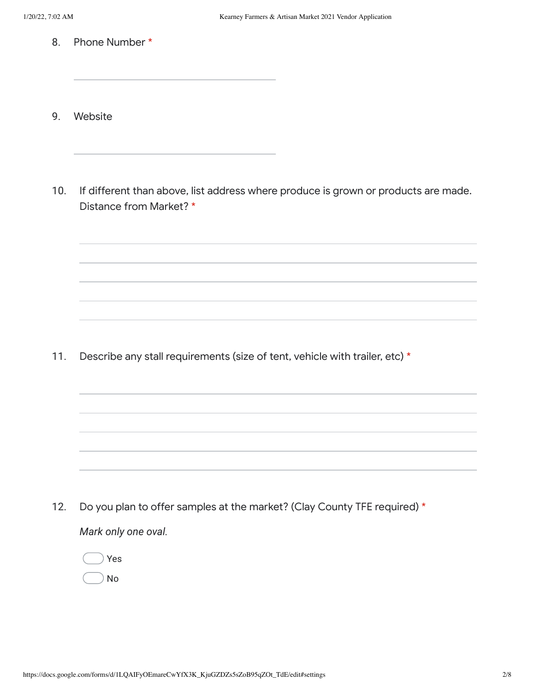- 8. Phone Number \*
- 9. Website
- 10. If different than above, list address where produce is grown or products are made. Distance from Market? \*

11. Describe any stall requirements (size of tent, vehicle with trailer, etc) \*

12. *Mark only one oval.* Do you plan to offer samples at the market? (Clay County TFE required) \*

Yes No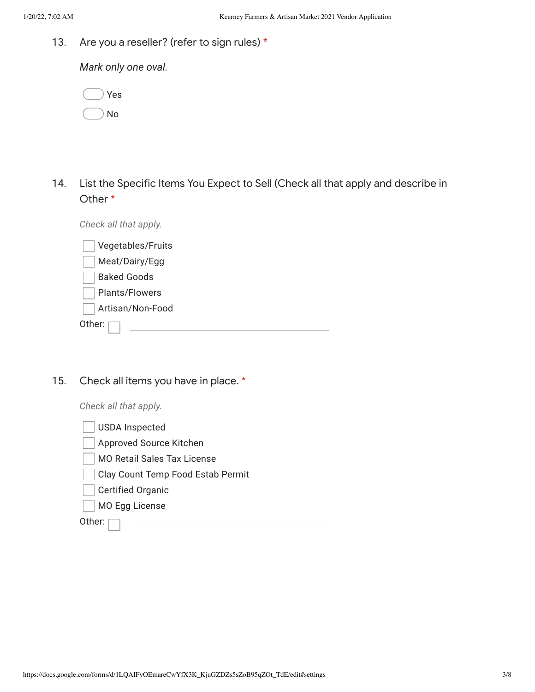13. Are you a reseller? (refer to sign rules) \*

*Mark only one oval.*

|  | Yes |
|--|-----|
|  | No  |

14. List the Specific Items You Expect to Sell (Check all that apply and describe in Other \*

*Check all that apply.*

| Vegetables/Fruits  |  |
|--------------------|--|
| Meat/Dairy/Egg     |  |
| <b>Baked Goods</b> |  |
| Plants/Flowers     |  |
| Artisan/Non-Food   |  |
| Other:             |  |

15. Check all items you have in place. \*

*Check all that apply.*

| <b>USDA Inspected</b>              |
|------------------------------------|
| Approved Source Kitchen            |
| <b>MO Retail Sales Tax License</b> |
| Clay Count Temp Food Estab Permit  |
| <b>Certified Organic</b>           |
| MO Egg License                     |
| Other:                             |
|                                    |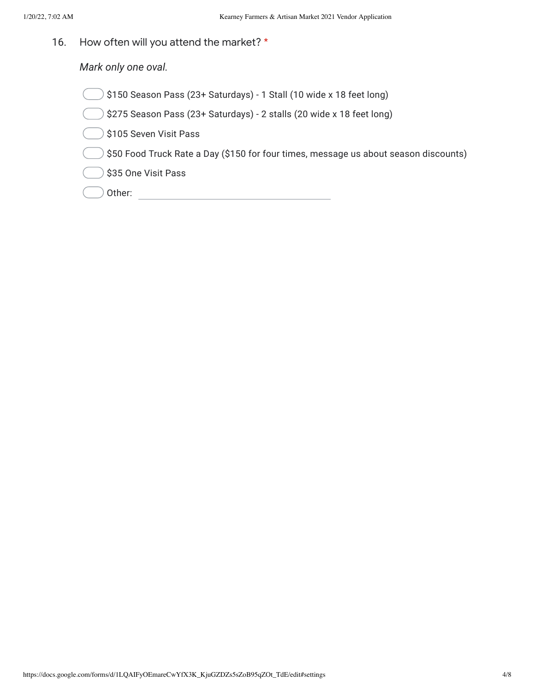16. How often will you attend the market? \*

*Mark only one oval.*

- \$150 Season Pass (23+ Saturdays) 1 Stall (10 wide x 18 feet long)
- \$275 Season Pass (23+ Saturdays) 2 stalls (20 wide x 18 feet long)

 $\big)$  \$105 Seven Visit Pass

\$50 Food Truck Rate a Day (\$150 for four times, message us about season discounts)

 $\big)$  \$35 One Visit Pass

Other: **Other: Other: Other: Other: Other: Other: Other: Other: Other: Other: Other: Other: Other: Other: Other: Other: Other: Other: Other: Other: Other: Other: Other: Other:**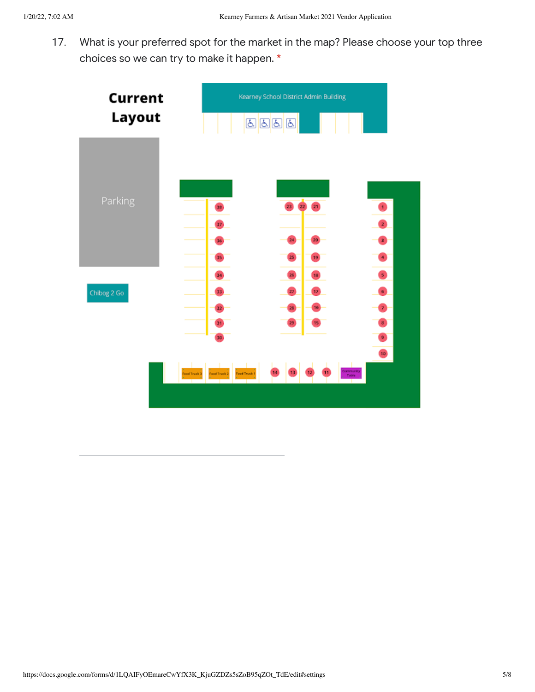17. What is your preferred spot for the market in the map? Please choose your top three choices so we can try to make it happen. \*

| Current      | Kearney School District Admin Building    |                              |
|--------------|-------------------------------------------|------------------------------|
| Layout       | <mark>てはす</mark>                          |                              |
|              |                                           |                              |
|              |                                           |                              |
| Parking      | 22<br>21<br>38                            | $\mathbf{1}$                 |
|              | 37                                        | 0                            |
|              | 24<br>36                                  | 3                            |
|              | 25)<br>35<br>19                           | $\bullet$                    |
|              | 26<br>34<br>18                            | $\bullet$                    |
| Chibog 2 Go  | 27<br>17 <sub>z</sub><br>33               | $\overline{\mathbf{6}}$      |
|              | 28<br>16<br>32                            | $\overline{7}$               |
|              | 29<br>31<br>15                            | $\mathbf{B}$                 |
|              | 30                                        | $\bullet$<br>$\overline{10}$ |
|              |                                           | <b>Community</b>             |
| Food Truck 3 | 14<br><b>Food Truck 1</b><br>Food Truck 2 | Table                        |
|              |                                           |                              |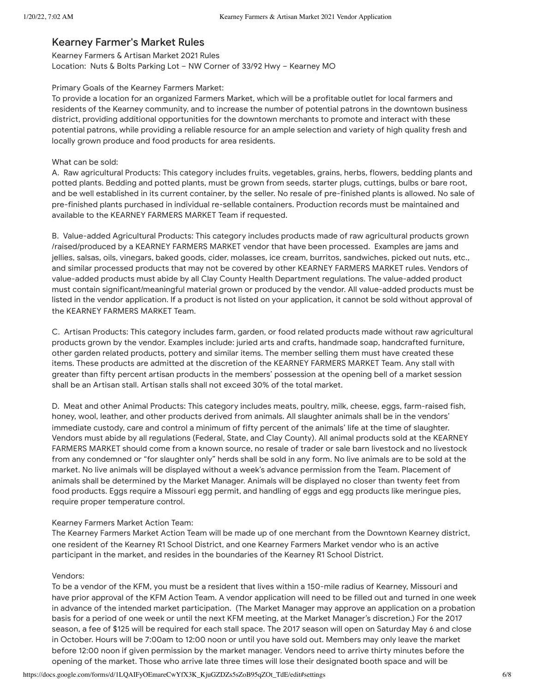## Kearney Farmer's Market Rules

Kearney Farmers & Artisan Market 2021 Rules Location: Nuts & Bolts Parking Lot – NW Corner of 33/92 Hwy – Kearney MO

#### Primary Goals of the Kearney Farmers Market:

To provide a location for an organized Farmers Market, which will be a profitable outlet for local farmers and residents of the Kearney community, and to increase the number of potential patrons in the downtown business district, providing additional opportunities for the downtown merchants to promote and interact with these potential patrons, while providing a reliable resource for an ample selection and variety of high quality fresh and locally grown produce and food products for area residents.

#### What can be sold:

A. Raw agricultural Products: This category includes fruits, vegetables, grains, herbs, flowers, bedding plants and potted plants. Bedding and potted plants, must be grown from seeds, starter plugs, cuttings, bulbs or bare root, and be well established in its current container, by the seller. No resale of pre-finished plants is allowed. No sale of pre-finished plants purchased in individual re-sellable containers. Production records must be maintained and available to the KEARNEY FARMERS MARKET Team if requested.

B. Value-added Agricultural Products: This category includes products made of raw agricultural products grown /raised/produced by a KEARNEY FARMERS MARKET vendor that have been processed. Examples are jams and jellies, salsas, oils, vinegars, baked goods, cider, molasses, ice cream, burritos, sandwiches, picked out nuts, etc., and similar processed products that may not be covered by other KEARNEY FARMERS MARKET rules. Vendors of value-added products must abide by all Clay County Health Department regulations. The value-added product must contain significant/meaningful material grown or produced by the vendor. All value-added products must be listed in the vendor application. If a product is not listed on your application, it cannot be sold without approval of the KEARNEY FARMERS MARKET Team.

C. Artisan Products: This category includes farm, garden, or food related products made without raw agricultural products grown by the vendor. Examples include: juried arts and crafts, handmade soap, handcrafted furniture, other garden related products, pottery and similar items. The member selling them must have created these items. These products are admitted at the discretion of the KEARNEY FARMERS MARKET Team. Any stall with greater than fifty percent artisan products in the members' possession at the opening bell of a market session shall be an Artisan stall. Artisan stalls shall not exceed 30% of the total market.

D. Meat and other Animal Products: This category includes meats, poultry, milk, cheese, eggs, farm-raised fish, honey, wool, leather, and other products derived from animals. All slaughter animals shall be in the vendors' immediate custody, care and control a minimum of fifty percent of the animals' life at the time of slaughter. Vendors must abide by all regulations (Federal, State, and Clay County). All animal products sold at the KEARNEY FARMERS MARKET should come from a known source, no resale of trader or sale barn livestock and no livestock from any condemned or "for slaughter only" herds shall be sold in any form. No live animals are to be sold at the market. No live animals will be displayed without a week's advance permission from the Team. Placement of animals shall be determined by the Market Manager. Animals will be displayed no closer than twenty feet from food products. Eggs require a Missouri egg permit, and handling of eggs and egg products like meringue pies, require proper temperature control.

### Kearney Farmers Market Action Team:

The Kearney Farmers Market Action Team will be made up of one merchant from the Downtown Kearney district, one resident of the Kearney R1 School District, and one Kearney Farmers Market vendor who is an active participant in the market, and resides in the boundaries of the Kearney R1 School District.

### Vendors:

To be a vendor of the KFM, you must be a resident that lives within a 150-mile radius of Kearney, Missouri and have prior approval of the KFM Action Team. A vendor application will need to be filled out and turned in one week in advance of the intended market participation. (The Market Manager may approve an application on a probation basis for a period of one week or until the next KFM meeting, at the Market Manager's discretion.) For the 2017 season, a fee of \$125 will be required for each stall space. The 2017 season will open on Saturday May 6 and close in October. Hours will be 7:00am to 12:00 noon or until you have sold out. Members may only leave the market before 12:00 noon if given permission by the market manager. Vendors need to arrive thirty minutes before the opening of the market. Those who arrive late three times will lose their designated booth space and will be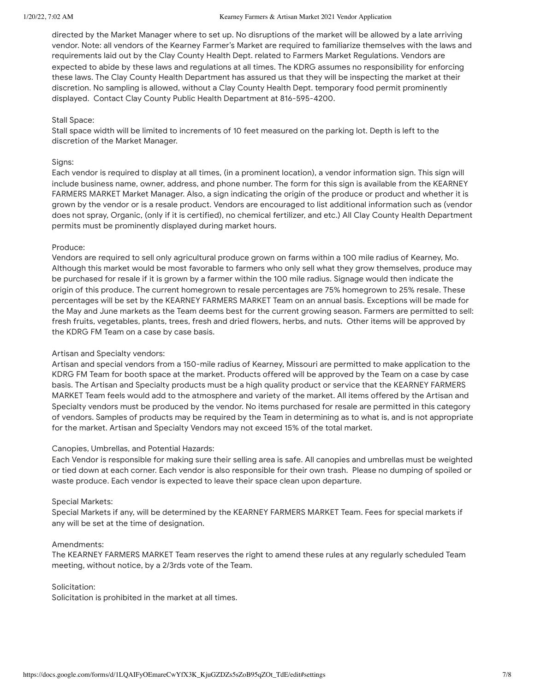#### 1/20/22, 7:02 AM Kearney Farmers & Artisan Market 2021 Vendor Application

directed by the Market Manager where to set up. No disruptions of the market will be allowed by a late arriving vendor. Note: all vendors of the Kearney Farmer's Market are required to familiarize themselves with the laws and requirements laid out by the Clay County Health Dept. related to Farmers Market Regulations. Vendors are expected to abide by these laws and regulations at all times. The KDRG assumes no responsibility for enforcing these laws. The Clay County Health Department has assured us that they will be inspecting the market at their discretion. No sampling is allowed, without a Clay County Health Dept. temporary food permit prominently displayed. Contact Clay County Public Health Department at 816-595-4200.

#### Stall Space:

Stall space width will be limited to increments of 10 feet measured on the parking lot. Depth is left to the discretion of the Market Manager.

#### Signs:

Each vendor is required to display at all times, (in a prominent location), a vendor information sign. This sign will include business name, owner, address, and phone number. The form for this sign is available from the KEARNEY FARMERS MARKET Market Manager. Also, a sign indicating the origin of the produce or product and whether it is grown by the vendor or is a resale product. Vendors are encouraged to list additional information such as (vendor does not spray, Organic, (only if it is certified), no chemical fertilizer, and etc.) All Clay County Health Department permits must be prominently displayed during market hours.

### Produce:

Vendors are required to sell only agricultural produce grown on farms within a 100 mile radius of Kearney, Mo. Although this market would be most favorable to farmers who only sell what they grow themselves, produce may be purchased for resale if it is grown by a farmer within the 100 mile radius. Signage would then indicate the origin of this produce. The current homegrown to resale percentages are 75% homegrown to 25% resale. These percentages will be set by the KEARNEY FARMERS MARKET Team on an annual basis. Exceptions will be made for the May and June markets as the Team deems best for the current growing season. Farmers are permitted to sell: fresh fruits, vegetables, plants, trees, fresh and dried flowers, herbs, and nuts. Other items will be approved by the KDRG FM Team on a case by case basis.

### Artisan and Specialty vendors:

Artisan and special vendors from a 150-mile radius of Kearney, Missouri are permitted to make application to the KDRG FM Team for booth space at the market. Products offered will be approved by the Team on a case by case basis. The Artisan and Specialty products must be a high quality product or service that the KEARNEY FARMERS MARKET Team feels would add to the atmosphere and variety of the market. All items offered by the Artisan and Specialty vendors must be produced by the vendor. No items purchased for resale are permitted in this category of vendors. Samples of products may be required by the Team in determining as to what is, and is not appropriate for the market. Artisan and Specialty Vendors may not exceed 15% of the total market.

### Canopies, Umbrellas, and Potential Hazards:

Each Vendor is responsible for making sure their selling area is safe. All canopies and umbrellas must be weighted or tied down at each corner. Each vendor is also responsible for their own trash. Please no dumping of spoiled or waste produce. Each vendor is expected to leave their space clean upon departure.

#### Special Markets:

Special Markets if any, will be determined by the KEARNEY FARMERS MARKET Team. Fees for special markets if any will be set at the time of designation.

#### Amendments:

The KEARNEY FARMERS MARKET Team reserves the right to amend these rules at any regularly scheduled Team meeting, without notice, by a 2/3rds vote of the Team.

#### Solicitation:

Solicitation is prohibited in the market at all times.